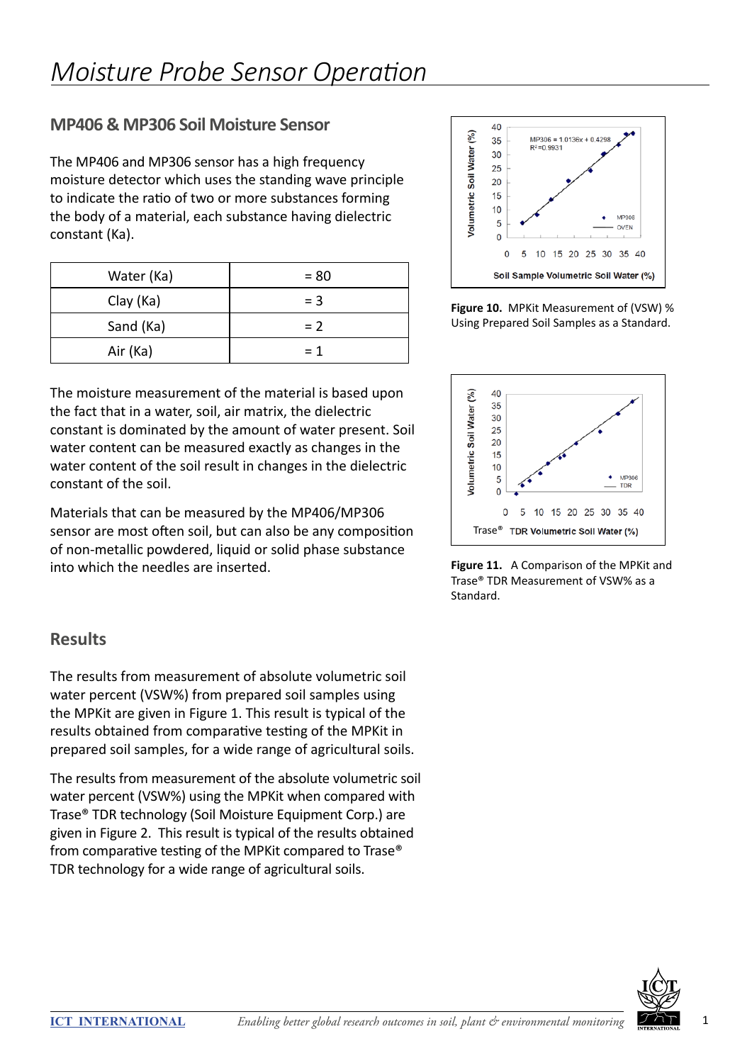## **MP406 & MP306 Soil Moisture Sensor**

The MP406 and MP306 sensor has a high frequency moisture detector which uses the standing wave principle to indicate the ratio of two or more substances forming the body of a material, each substance having dielectric constant (Ka).

| Water (Ka) | $= 80$ |
|------------|--------|
| Clay (Ka)  | $=$ 3  |
| Sand (Ka)  | $= 2$  |
| Air (Ka)   | $= 1$  |

The moisture measurement of the material is based upon the fact that in a water, soil, air matrix, the dielectric constant is dominated by the amount of water present. Soil water content can be measured exactly as changes in the water content of the soil result in changes in the dielectric constant of the soil.

Materials that can be measured by the MP406/MP306 sensor are most often soil, but can also be any composition of non-metallic powdered, liquid or solid phase substance into which the needles are inserted.

## **Results**

The results from measurement of absolute volumetric soil water percent (VSW%) from prepared soil samples using the MPKit are given in Figure 1. This result is typical of the results obtained from comparative testing of the MPKit in prepared soil samples, for a wide range of agricultural soils.

The results from measurement of the absolute volumetric soil water percent (VSW%) using the MPKit when compared with Trase® TDR technology (Soil Moisture Equipment Corp.) are given in Figure 2. This result is typical of the results obtained from comparative testing of the MPKit compared to Trase® TDR technology for a wide range of agricultural soils.



**Figure 10.** MPKit Measurement of (VSW) % Using Prepared Soil Samples as a Standard.



**Figure 11.** A Comparison of the MPKit and Trase® TDR Measurement of VSW% as a Standard.

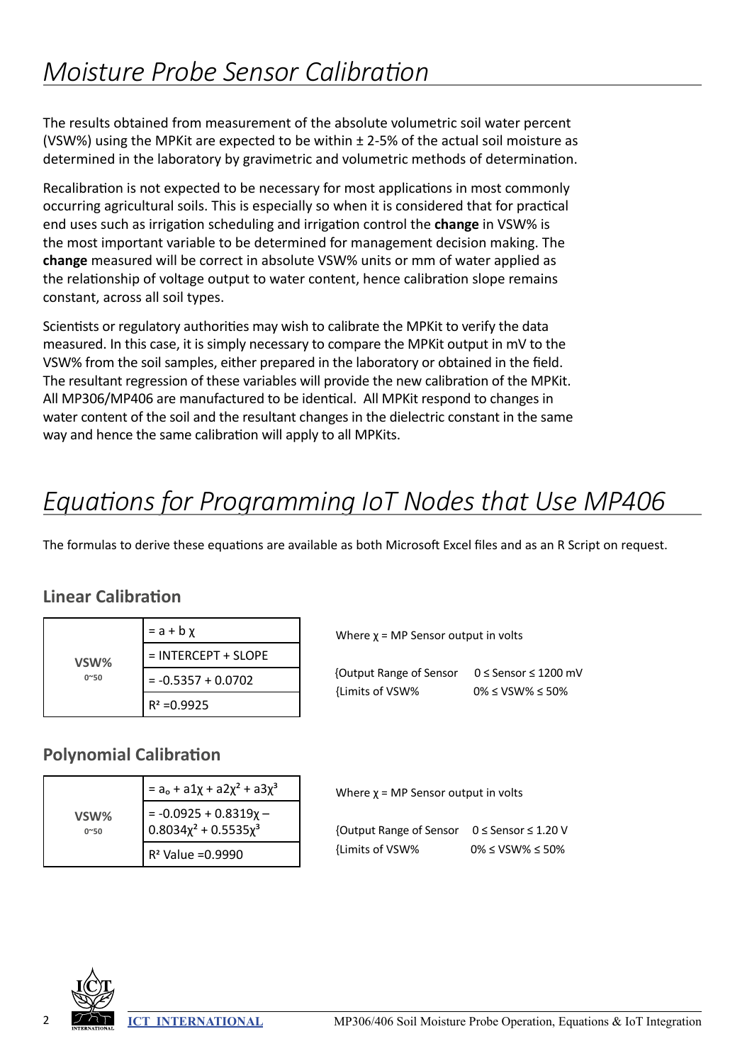The results obtained from measurement of the absolute volumetric soil water percent (VSW%) using the MPK it are expected to be within  $\pm$  2-5% of the actual soil moisture as determined in the laboratory by gravimetric and volumetric methods of determination.

Recalibration is not expected to be necessary for most applications in most commonly occurring agricultural soils. This is especially so when it is considered that for practical end uses such as irrigation scheduling and irrigation control the **change** in VSW% is the most important variable to be determined for management decision making. The **change** measured will be correct in absolute VSW% units or mm of water applied as the relationship of voltage output to water content, hence calibration slope remains constant, across all soil types.

Scientists or regulatory authorities may wish to calibrate the MPKit to verify the data measured. In this case, it is simply necessary to compare the MPKit output in mV to the VSW% from the soil samples, either prepared in the laboratory or obtained in the field. The resultant regression of these variables will provide the new calibration of the MPKit. All MP306/MP406 are manufactured to be identical. All MPKit respond to changes in water content of the soil and the resultant changes in the dielectric constant in the same way and hence the same calibration will apply to all MPKits.

# *Equations for Programming IoT Nodes that Use MP406*

The formulas to derive these equations are available as both Microsoft Excel files and as an R Script on request.

## **Linear Calibration**

| VSW%<br>$0^{\sim}50$ | $= a + b \chi$        |
|----------------------|-----------------------|
|                      | $=$ INTERCEPT + SLOPE |
|                      | $= -0.5357 + 0.0702$  |
|                      | $R^2 = 0.9925$        |

#### **Polynomial Calibration**

| VSW%<br>$0^{\sim}50$ | $=$ a <sub>o</sub> + a1x + a2x <sup>2</sup> + a3x <sup>3</sup>       |
|----------------------|----------------------------------------------------------------------|
|                      | = -0.0925 + 0.8319x -<br>0.8034x <sup>2</sup> + 0.5535x <sup>3</sup> |
|                      | $R^2$ Value = 0.9990                                                 |

| {Output Range of Sensor | $0 \leq$ Sensor $\leq$ 1200 mV |
|-------------------------|--------------------------------|
| {Limits of VSW%         | $0\% \leq VSW\% \leq 50\%$     |

Where  $\chi$  = MP Sensor output in volts

Where  $\chi$  = MP Sensor output in volts

| {Output Range of Sensor 0 ≤ Sensor ≤ 1.20 V |                            |
|---------------------------------------------|----------------------------|
| {Limits of VSW%                             | $0\% \leq VSW\% \leq 50\%$ |

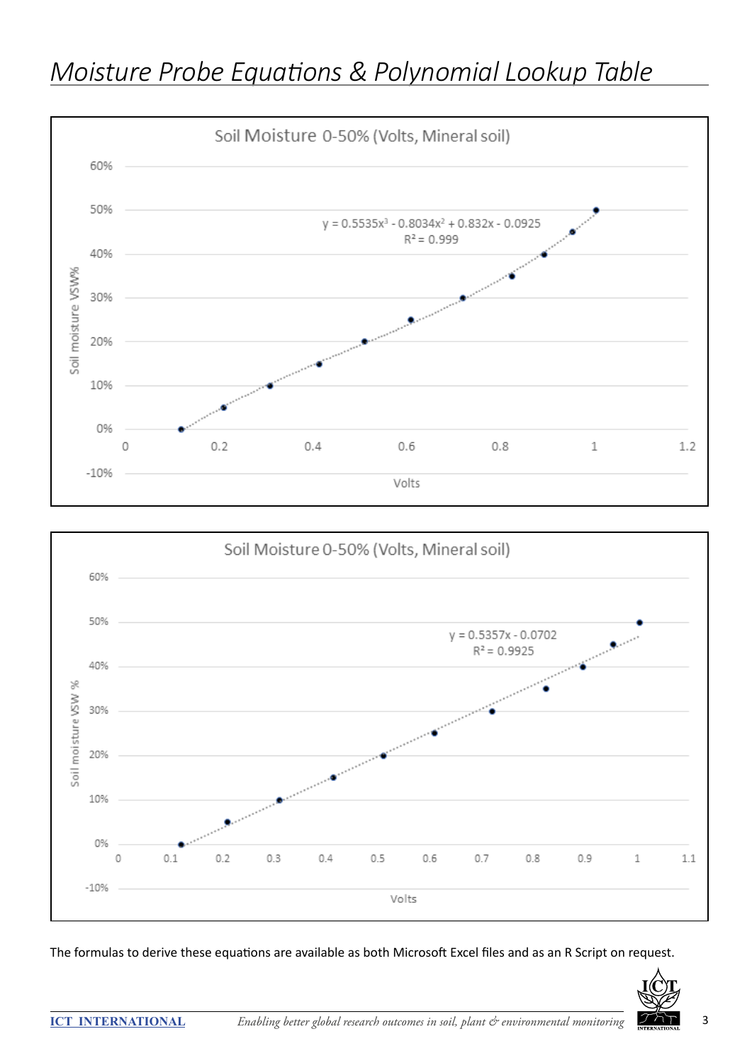





The formulas to derive these equations are available as both Microsoft Excel files and as an R Script on request.